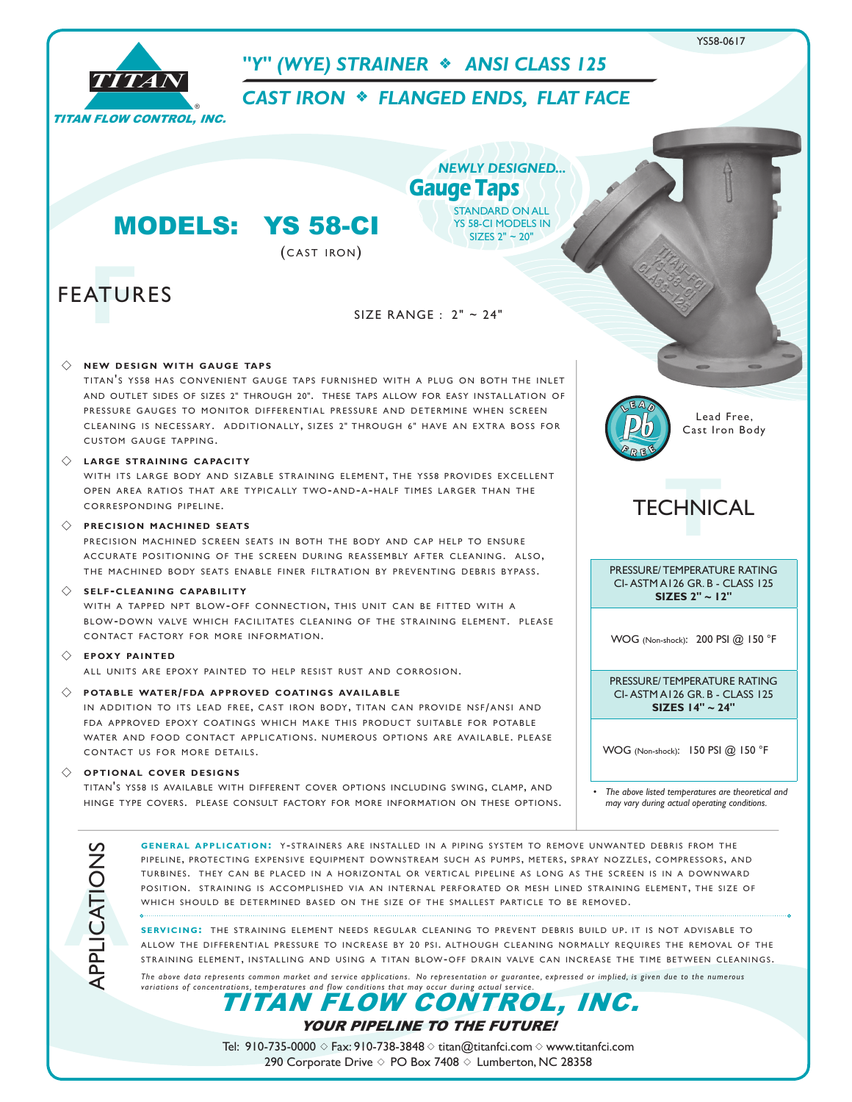

Tel: 910-735-0000  $\diamond$  Fax: 910-738-3848  $\diamond$  titan@titanfci.com  $\diamond$  www.titanfci.com 290 Corporate Drive  $\diamond$  PO Box 7408  $\diamond$  Lumberton, NC 28358